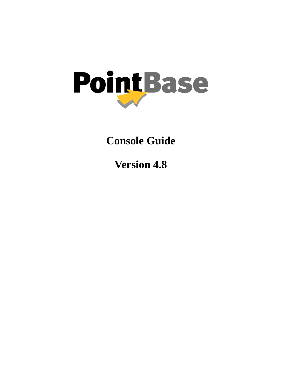

**Console Guide**

**Version 4.8**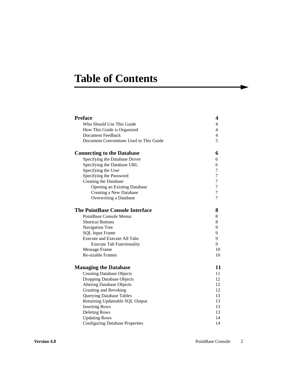# **Table of Contents**

| <b>Preface</b>                          | 4              |
|-----------------------------------------|----------------|
| Who Should Use This Guide               | 4              |
| How This Guide is Organized             | $\overline{4}$ |
| <b>Document Feedback</b>                | $\overline{4}$ |
| Document Conventions Used in This Guide | 5              |
| <b>Connecting to the Database</b>       | 6              |
| Specifying the Database Driver          | 6              |
| Specifying the Database URL             | 6              |
| Specifying the User                     | 7              |
| Specifying the Password                 | 7              |
| Creating the Database                   | $\overline{7}$ |
| <b>Opening an Existing Database</b>     | 7              |
| Creating a New Database                 | $\tau$         |
| Overwriting a Database                  | $\overline{7}$ |
| <b>The PointBase Console Interface</b>  | 8              |
| PointBase Console Menus                 | 8              |
| <b>Shortcut Buttons</b>                 | 8              |
| Navigation Tree                         | 9              |
| <b>SQL Input Frame</b>                  | 9              |
| <b>Execute and Execute All Tabs</b>     | 9              |
| <b>Execute Tab Functionality</b>        | 9              |
| <b>Message Frame</b>                    | 10             |
| Re-sizable Frames                       | 10             |
| <b>Managing the Database</b>            | 11             |
| <b>Creating Database Objects</b>        | 11             |
| <b>Dropping Database Objects</b>        | 12             |
| <b>Altering Database Objects</b>        | 12             |
| Granting and Revoking                   | 12             |
| <b>Querying Database Tables</b>         | 13             |
| Returning Updateable SQL Output         | 13             |
| <b>Inserting Rows</b>                   | 13             |
| <b>Deleting Rows</b>                    | 13             |
| <b>Updating Rows</b>                    | 14             |
| <b>Configuring Database Properties</b>  | 14             |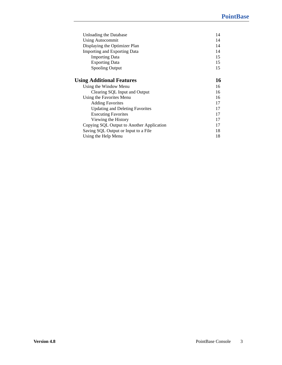| 14 |
|----|
| 14 |
| 14 |
| 14 |
| 15 |
| 15 |
| 15 |
| 16 |
| 16 |
| 16 |
| 16 |
| 17 |
| 17 |
| 17 |
| 17 |
| 17 |
| 18 |
| 18 |
|    |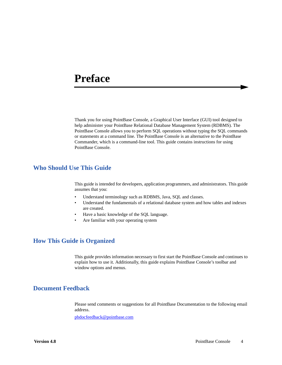# <span id="page-3-0"></span>**Preface**

Thank you for using PointBase Console, a Graphical User Interface (GUI) tool designed to help administer your PointBase Relational Database Management System (RDBMS). The PointBase Console allows you to perform SQL operations without typing the SQL commands or statements at a command line. The PointBase Console is an alternative to the PointBase Commander, which is a command-line tool. This guide contains instructions for using PointBase Console.

# <span id="page-3-1"></span>**Who Should Use This Guide**

This guide is intended for developers, application programmers, and administrators. This guide assumes that you:

- Understand terminology such as RDBMS, Java, SQL and classes.
- Understand the fundamentals of a relational database system and how tables and indexes are created.
- Have a basic knowledge of the SQL language.
- Are familiar with your operating system

## <span id="page-3-2"></span>**How This Guide is Organized**

This guide provides information necessary to first start the PointBase Console and continues to explain how to use it. Additionally, this guide explains PointBase Console's toolbar and window options and menus.

# <span id="page-3-3"></span>**Document Feedback**

Please send comments or suggestions for all PointBase Documentation to the following email address.

[pbdocfeedback@pointbase.com](mailto:docfeedback@pointbase.com)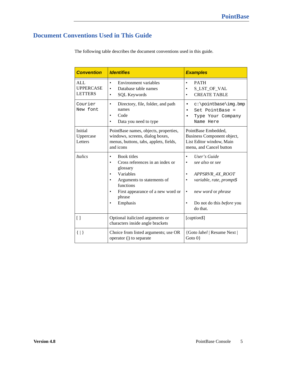# <span id="page-4-0"></span>**Document Conventions Used in This Guide**

| The following table describes the document conventions used in this guide. |  |
|----------------------------------------------------------------------------|--|
|----------------------------------------------------------------------------|--|

| <b>Convention</b>                                | <b>Identifies</b>                                                                                                                                                                    | <b>Examples</b>                                                                                                                                      |  |
|--------------------------------------------------|--------------------------------------------------------------------------------------------------------------------------------------------------------------------------------------|------------------------------------------------------------------------------------------------------------------------------------------------------|--|
| <b>ALL</b><br><b>UPPERCASE</b><br><b>LETTERS</b> | Environment variables<br>$\bullet$<br>Database table names<br><b>SQL Keywords</b><br>$\bullet$                                                                                       | <b>PATH</b><br>S_LST_OF_VAL<br><b>CREATE TABLE</b>                                                                                                   |  |
| Courier<br>New font                              | Directory, file, folder, and path<br>names<br>Code<br>٠<br>Data you need to type                                                                                                     | c:\pointbase\img.bmp<br>٠<br>Set PointBase =<br>Type Your Company<br>Name Here                                                                       |  |
| Initial<br>Uppercase<br>Letters                  | PointBase names, objects, properties,<br>windows, screens, dialog boxes,<br>menus, buttons, tabs, applets, fields,<br>and icons                                                      | PointBase Embedded,<br>Business Component object,<br>List Editor window, Main<br>menu, and Cancel button                                             |  |
| <i><u><b>Italics</b></u></i>                     | <b>Book titles</b><br>Cross references in an index or<br>glossary<br>Variables<br>Arguments to statements of<br>functions<br>First appearance of a new word or<br>phrase<br>Emphasis | User's Guide<br>see also or see<br>APPSRVR_4X_ROOT<br>variable, rate, prompt\$<br>new word or phrase<br>Do not do this <i>before</i> you<br>do that. |  |
| $\lceil$                                         | Optional italicized arguments or<br>characters inside angle brackets                                                                                                                 | [caption\$]                                                                                                                                          |  |
| $\{   \}$                                        | Choice from listed arguments; use OR<br>operator ( ) to separate                                                                                                                     | {Goto label   Resume Next  <br>Goto $0$ }                                                                                                            |  |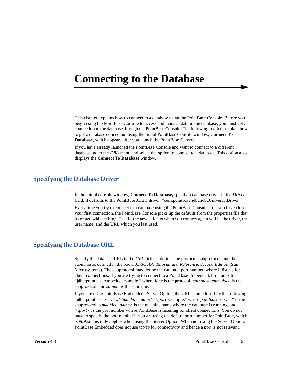# <span id="page-5-0"></span>**Connecting to the Database**

This chapter explains how to connect to a database using the PointBase Console. Before you begin using the PointBase Console to access and manage data in the database, you must get a connection to the database through the PointBase Console. The following sections explain how to get a database connection using the initial PointBase Console window, **Connect To Database**, which appears after you launch the PointBase Console.

If you have already launched the PointBase Console and want to connect to a different database, go to the *DBA* menu and select the option to connect to a database. This option also displays the **Connect To Database** window.

## <span id="page-5-1"></span>**Specifying the Database Driver**

In the initial console window, **Connect To Database,** specify a database driver in the *Driver* field. It defaults to the PointBase JDBC driver, "com.pointbase.jdbc.jdbcUniversalDriver."

Every time you try to connect to a database using the PointBase Console after you have closed your first connection, the PointBase Console picks up the defaults from the properties file that it created while exiting. That is, the new defaults when you connect again will be the driver, the user name, and the URL which you last used.

## <span id="page-5-2"></span>**Specifying the Database URL**

Specify the database URL in the *URL* field. It defines the protocol, subprotocol, and the subname as defined in the book, *JDBC API Tutorial and Reference, Second Edition* (Sun Microsystems). The subprotocol may define the database port number, where it listens for client connections, if you are trying to connect to a PointBase Embedded. It defaults to "jdbc:pointbase:embedded:sample," where *jdbc* is the protocol, *pointbase:embedded* is the subprotocol, and *sample* is the subname.

If you are using PointBase Embedded - Server Option, the URL should look like the following: "jdbc:pointbase:server://*<machine\_name><:port>*/sample," where *pointbase:server"* is the subprotocol, *<machine\_name>* is the machine name where the database is running, and *<:port>* is the port number where PointBase is listening for client connections. You do not have to specify the port number if you are using the default port number for PointBase, which is *9092*.(This only applies when using the Server Option. When not using the Server Option, PointBase Embedded does not use tcp/ip for connectivity and hence a port is not relevant.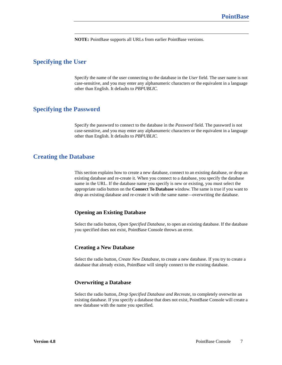**NOTE:** PointBase supports all URLs from earlier PointBase versions.

## <span id="page-6-0"></span>**Specifying the User**

Specify the name of the user connecting to the database in the *User* field. The user name is not case-sensitive, and you may enter any alphanumeric characters or the equivalent in a language other than English. It defaults to *PBPUBLIC.*

## <span id="page-6-1"></span>**Specifying the Password**

Specify the password to connect to the database in the *Password* field. The password is not case-sensitive, and you may enter any alphanumeric characters or the equivalent in a language other than English. It defaults to *PBPUBLIC.*

## <span id="page-6-2"></span>**Creating the Database**

This section explains how to create a new database, connect to an existing database, or drop an existing database and re-create it. When you connect to a database, you specify the database name in the URL. If the database name you specify is new or existing, you must select the appropriate radio button on the **Connect To Database** window. The same is true if you want to drop an existing database and re-create it with the same name—overwriting the database.

#### <span id="page-6-3"></span>**Opening an Existing Database**

Select the radio button, *Open Specified Database*, to open an existing database. If the database you specified does not exist, PointBase Console throws an error.

#### <span id="page-6-4"></span>**Creating a New Database**

Select the radio button, *Create New Database*, to create a new database. If you try to create a database that already exists, PointBase will simply connect to the existing database.

#### <span id="page-6-5"></span>**Overwriting a Database**

Select the radio button, *Drop Specified Database and Recreate*, to completely overwrite an existing database. If you specify a database that does not exist, PointBase Console will create a new database with the name you specified.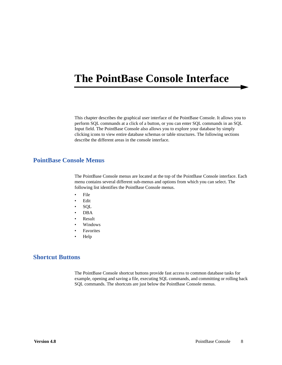# <span id="page-7-0"></span>**The PointBase Console Interface**

This chapter describes the graphical user interface of the PointBase Console. It allows you to perform SQL commands at a click of a button, or you can enter SQL commands in an SQL Input field. The PointBase Console also allows you to explore your database by simply clicking icons to view entire database schemas or table structures. The following sections describe the different areas in the console interface.

## <span id="page-7-1"></span>**PointBase Console Menus**

The PointBase Console menus are located at the top of the PointBase Console interface. Each menu contains several different sub-menus and options from which you can select. The following list identifies the PointBase Console menus.

- File
- Edit
- SQL
- DBA
- Result
- Windows
- Favorites
- Help

## <span id="page-7-2"></span>**Shortcut Buttons**

The PointBase Console shortcut buttons provide fast access to common database tasks for example, opening and saving a file, executing SQL commands, and committing or rolling back SQL commands. The shortcuts are just below the PointBase Console menus.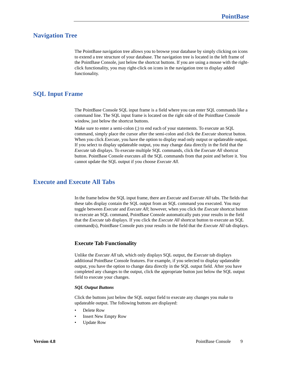## <span id="page-8-0"></span>**Navigation Tree**

The PointBase navigation tree allows you to browse your database by simply clicking on icons to extend a tree structure of your database. The navigation tree is located in the left frame of the PointBase Console, just below the shortcut buttons. If you are using a mouse with the rightclick functionality, you may right-click on icons in the navigation tree to display added functionality.

## <span id="page-8-1"></span>**SQL Input Frame**

The PointBase Console SQL input frame is a field where you can enter SQL commands like a command line. The SQL input frame is located on the right side of the PointBase Console window, just below the shortcut buttons.

Make sure to enter a semi-colon (;) to end each of your statements. To execute an SQL command, simply place the cursor after the semi-colon and click the *Execute* shortcut button. When you click *Execute*, you have the option to display read only output or updateable output. If you select to display updateable output, you may change data directly in the field that the *Execute* tab displays. To execute multiple SQL commands, click the *Execute All* shortcut button. PointBase Console executes all the SQL commands from that point and before it. You cannot update the SQL output if you choose *Execute All*.

## <span id="page-8-2"></span>**Execute and Execute All Tabs**

In the frame below the SQL input frame, there are *Execute* and *Execute All* tabs. The fields that these tabs display contain the SQL output from an SQL command you executed. You may toggle between *Execute* and *Execute All*; however, when you click the *Execute* shortcut button to execute an SQL command, PointBase Console automatically puts your results in the field that the *Execute* tab displays. If you click the *Execute All* shortcut button to execute an SQL command(s), PointBase Console puts your results in the field that the *Execute All* tab displays.

### <span id="page-8-3"></span>**Execute Tab Functionality**

Unlike the *Execute All* tab, which only displays SQL output, the *Execute* tab displays additional PointBase Console features. For example, if you selected to display updateable output, you have the option to change data directly in the SQL output field. After you have completed any changes to the output, click the appropriate button just below the SQL output field to execute your changes.

#### *SQL Output Buttons*

Click the buttons just below the SQL output field to execute any changes you make to updateable output. The following buttons are displayed:

- Delete Row
- Insert New Empty Row
- Update Row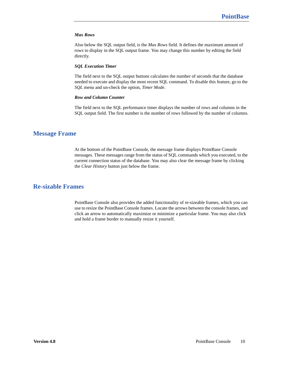#### *Max Rows*

Also below the SQL output field, is the *Max Rows* field. It defines the maximum amount of rows to display in the SQL output frame. You may change this number by editing the field directly.

#### *SQL Execution Timer*

The field next to the SQL output buttons calculates the number of seconds that the database needed to execute and display the most recent SQL command. To disable this feature, go to the *SQL* menu and un-check the option, *Timer Mode*.

#### *Row and Column Counter*

The field next to the SQL performance timer displays the number of rows and columns in the SQL output field. The first number is the number of rows followed by the number of columns.

## <span id="page-9-0"></span>**Message Frame**

At the bottom of the PointBase Console, the message frame displays PointBase Console messages. These messages range from the status of SQL commands which you executed, to the current connection status of the database. You may also clear the message frame by clicking the *Clear History* button just below the frame.

## <span id="page-9-1"></span>**Re-sizable Frames**

PointBase Console also provides the added functionality of re-sizeable frames, which you can use to resize the PointBase Console frames. Locate the arrows between the console frames, and click an arrow to automatically maximize or minimize a particular frame. You may also click and hold a frame border to manually resize it yourself.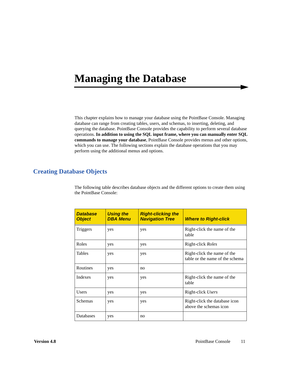# <span id="page-10-0"></span>**Managing the Database**

This chapter explains how to manage your database using the PointBase Console. Managing database can range from creating tables, users, and schemas, to inserting, deleting, and querying the database. PointBase Console provides the capability to perform several database operations. **In addition to using the SQL input frame, where you can manually enter SQL commands to manage your database**, PointBase Console provides menus and other options, which you can use. The following sections explain the database operations that you may perform using the additional menus and options.

## <span id="page-10-1"></span>**Creating Database Objects**

The following table describes database objects and the different options to create them using the PointBase Console:

| <b>Database</b><br><b>Object</b> | <b>Using the</b><br><b>DBA Menu</b> | <b>Right-clicking the</b><br><b>Navigation Tree</b> | <b>Where to Right-click</b>                                    |
|----------------------------------|-------------------------------------|-----------------------------------------------------|----------------------------------------------------------------|
| Triggers                         | yes                                 | yes                                                 | Right-click the name of the<br>table                           |
| Roles                            | yes                                 | yes                                                 | Right-click <i>Roles</i>                                       |
| <b>Tables</b>                    | yes                                 | yes                                                 | Right-click the name of the<br>table or the name of the schema |
| Routines                         | yes                                 | no                                                  |                                                                |
| Indexes                          | yes                                 | yes                                                 | Right-click the name of the<br>table                           |
| <b>Users</b>                     | yes                                 | yes                                                 | Right-click Users                                              |
| Schemas                          | yes                                 | yes                                                 | Right-click the database icon<br>above the schemas icon        |
| Databases                        | yes                                 | no                                                  |                                                                |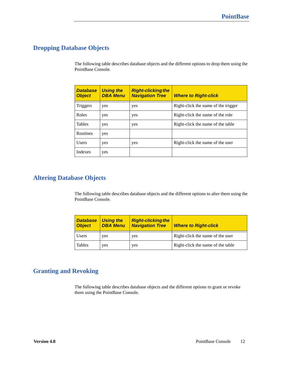# <span id="page-11-0"></span>**Dropping Database Objects**

The following table describes database objects and the different options to drop them using the PointBase Console.

| <b>Database</b><br><b>Object</b> | <b>Using the</b><br><b>DBA Menu</b> | <b>Right-clicking the</b><br><b>Navigation Tree</b> | <b>Where to Right-click</b>         |
|----------------------------------|-------------------------------------|-----------------------------------------------------|-------------------------------------|
| Triggers                         | yes                                 | yes                                                 | Right-click the name of the trigger |
| Roles                            | yes                                 | yes                                                 | Right-click the name of the role    |
| <b>Tables</b>                    | yes                                 | yes                                                 | Right-click the name of the table   |
| Routines                         | yes                                 |                                                     |                                     |
| <b>Users</b>                     | yes                                 | yes                                                 | Right-click the name of the user    |
| Indexes                          | yes                                 |                                                     |                                     |

# <span id="page-11-1"></span>**Altering Database Objects**

The following table describes database objects and the different options to alter them using the PointBase Console.

| <b>Database</b><br><b>Object</b> | <b>Using the</b><br><b>DBA Menu</b> | <b>Right-clicking the</b><br><b>Navigation Tree</b> | <b>Where to Right-click</b>       |
|----------------------------------|-------------------------------------|-----------------------------------------------------|-----------------------------------|
| <b>Users</b>                     | yes                                 | yes                                                 | Right-click the name of the user  |
| <b>Tables</b>                    | yes                                 | yes                                                 | Right-click the name of the table |

# <span id="page-11-2"></span>**Granting and Revoking**

The following table describes database objects and the different options to grant or revoke them using the PointBase Console.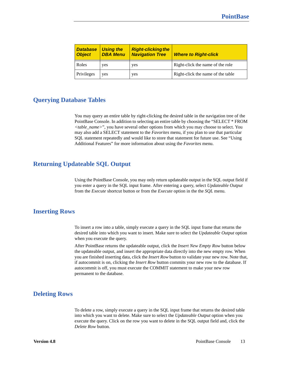| <b>Database</b><br><b>Object</b> | <b>Using the</b><br><b>DBA Menu</b> | <b>Right-clicking the</b><br><b>Navigation Tree</b> | <b>Where to Right-click</b>       |
|----------------------------------|-------------------------------------|-----------------------------------------------------|-----------------------------------|
| Roles                            | yes                                 | yes                                                 | Right-click the name of the role  |
| Privileges                       | yes                                 | yes                                                 | Right-click the name of the table |

## <span id="page-12-0"></span>**Querying Database Tables**

You may query an entire table by right-clicking the desired table in the navigation tree of the PointBase Console. In addition to selecting an entire table by choosing the "SELECT \* FROM *<table\_name>*", you have several other options from which you may choose to select. You may also add a SELECT statement to the *Favorites* menu, if you plan to use that particular SQL statement repeatedly and would like to store that statement for future use. See "Using Additional Features" for more information about using the *Favorites* menu.

## <span id="page-12-1"></span>**Returning Updateable SQL Output**

Using the PointBase Console, you may only return updateable output in the SQL output field if you enter a query in the SQL input frame. After entering a query, select *Updateable Output* from the *Execute* shortcut button or from the *Execute* option in the the *SQL* menu.

## <span id="page-12-2"></span>**Inserting Rows**

To insert a row into a table, simply execute a query in the SQL input frame that returns the desired table into which you want to insert. Make sure to select the *Updateable Output* option when you execute the query.

After PointBase returns the updateable output, click the *Insert New Empty Row* button below the updateable output, and insert the appropriate data directly into the new empty row. When you are finished inserting data, click the *Insert Row* button to validate your new row. Note that, if autocommit is on, clicking the *Insert Row* button commits your new row to the database. If autocommit is off, you must execute the COMMIT statement to make your new row permanent to the database.

## <span id="page-12-3"></span>**Deleting Rows**

To delete a row, simply execute a query in the SQL input frame that returns the desired table into which you want to delete. Make sure to select the *Updateable Output* option when you execute the query. Click on the row you want to delete in the SQL output field and, click the *Delete Row* button.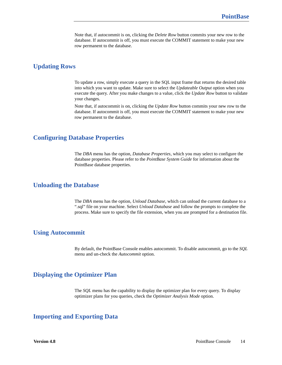Note that, if autocommit is on, clicking the *Delete Row* button commits your new row to the database. If autocommit is off, you must execute the COMMIT statement to make your new row permanent to the database.

## <span id="page-13-0"></span>**Updating Rows**

To update a row, simply execute a query in the SQL input frame that returns the desired table into which you want to update. Make sure to select the *Updateable Output* option when you execute the query. After you make changes to a value, click the *Update Row* button to validate your changes.

Note that, if autocommit is on, clicking the *Update Row* button commits your new row to the database. If autocommit is off, you must execute the COMMIT statement to make your new row permanent to the database.

## <span id="page-13-1"></span>**Configuring Database Properties**

The *DBA* menu has the option, *Database Properties*, which you may select to configure the database properties. Please refer to the *PointBase System Guide* for information about the PointBase database properties.

## <span id="page-13-2"></span>**Unloading the Database**

The *DBA* menu has the option, *Unload Database*, which can unload the current database to a ".sql" file on your machine. Select *Unload Database* and follow the prompts to complete the process. Make sure to specify the file extension, when you are prompted for a destination file.

## <span id="page-13-3"></span>**Using Autocommit**

By default, the PointBase Console enables autocommit. To disable autocommit, go to the *SQL* menu and un-check the *Autocommit* option.

## <span id="page-13-4"></span>**Displaying the Optimizer Plan**

The *SQL* menu has the capability to display the optimizer plan for every query. To display optimizer plans for you queries, check the *Optimizer Analysis Mode* option.

## <span id="page-13-5"></span>**Importing and Exporting Data**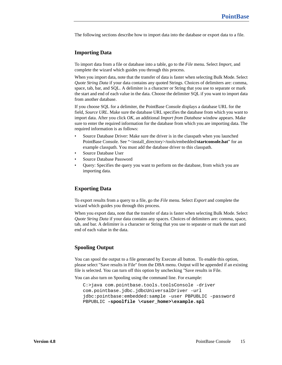The following sections describe how to import data into the database or export data to a file.

### <span id="page-14-0"></span>**Importing Data**

To import data from a file or database into a table, go to the *File* menu. Select *Import,* and complete the wizard which guides you through this process.

When you import data, note that the transfer of data is faster when selecting Bulk Mode. Select *Quote String Data* if your data contains any quoted Strings. Choices of delimiters are: comma, space, tab, bar, and SQL. A delimiter is a character or String that you use to separate or mark the start and end of each value in the data. Choose the delimiter SQL if you want to import data from another database.

If you choose SQL for a delimiter, the PointBase Console displays a database URL for the field, *Source URL*. Make sure the database URL specifies the database from which you want to import data. After you click *OK*, an additional *Import from Database* window appears. Make sure to enter the required information for the database from which you are importing data. The required information is as follows:

- Source Database Driver: Make sure the driver is in the classpath when you launched PointBase Console. See "<install\_directory>/tools/embedded/startconsole.bat" for an example classpath. You must add the database driver to this classpath.
- Source Database User
- Source Database Password
- Query: Specifies the query you want to perform on the database, from which you are importing data.

### <span id="page-14-1"></span>**Exporting Data**

To export results from a query to a file, go the *File* menu. Select *Export* and complete the wizard which guides you through this process.

When you export data, note that the transfer of data is faster when selecting Bulk Mode. Select *Quote String Data* if your data contains any spaces. Choices of delimiters are: comma, space, tab, and bar. A delimiter is a character or String that you use to separate or mark the start and end of each value in the data.

### <span id="page-14-2"></span>**Spooling Output**

You can spool the output to a file generated by Execute all button. To enable this option, please select "Save results in File" from the DBA menu. Output will be appended if an existing file is selected. You can turn off this option by unchecking "Save results in File.

You can also turn on Spooling using the command line. For example:

```
C:>java com.pointbase.tools.toolsConsole -driver 
com.pointbase.jdbc.jdbcUniversalDriver -url 
jdbc:pointbase:embedded:sample -user PBPUBLIC -password 
PBPUBLIC -spoolfile \<user_home>\example.spl
```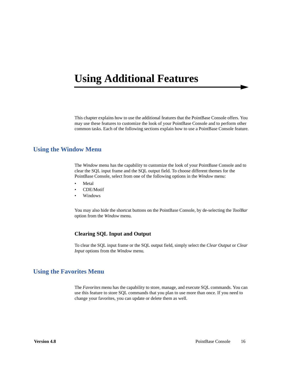# <span id="page-15-0"></span>**Using Additional Features**

This chapter explains how to use the additional features that the PointBase Console offers. You may use these features to customize the look of your PointBase Console and to perform other common tasks. Each of the following sections explain how to use a PointBase Console feature.

## <span id="page-15-1"></span>**Using the Window Menu**

The *Window* menu has the capability to customize the look of your PointBase Console and to clear the SQL input frame and the SQL output field. To choose different themes for the PointBase Console, select from one of the following options in the *Window* menu:

- **Metal**
- CDE/Motif
- Windows

You may also hide the shortcut buttons on the PointBase Console, by de-selecting the *ToolBar* option from the *Window* menu.

### <span id="page-15-2"></span>**Clearing SQL Input and Output**

To clear the SQL input frame or the SQL output field, simply select the *Clear Output* or *Clear Input* options from the *Window* menu*.*

## <span id="page-15-3"></span>**Using the Favorites Menu**

The *Favorites* menu has the capability to store, manage, and execute SQL commands. You can use this feature to store SQL commands that you plan to use more than once. If you need to change your favorites, you can update or delete them as well.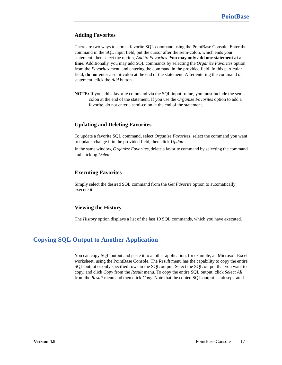## <span id="page-16-0"></span>**Adding Favorites**

There are two ways to store a favorite SQL command using the PointBase Console. Enter the command in the SQL input field, put the cursor after the semi-colon, which ends your statement, then select the option, *Add to Favorites*. **You may only add one statement at a time.** Additionally, you may add SQL commands by selecting the *Organize Favorites* option from the *Favorites* menu and entering the command in the provided field. In this particular field, **do not** enter a semi-colon at the end of the statement. After entering the command or statement, click the *Add* button.

**NOTE:** If you add a favorite command via the SQL input frame, you must include the semicolon at the end of the statement. If you use the *Organize Favorites* option to add a favorite, do not enter a semi-colon at the end of the statement.

## <span id="page-16-1"></span>**Updating and Deleting Favorites**

To update a favorite SQL command, select *Organize Favorites*, select the command you want to update, change it in the provided field, then click *Update.*

In the same window, *Organize Favorites*, delete a favorite command by selecting the command and clicking *Delete.*

### <span id="page-16-2"></span>**Executing Favorites**

Simply select the desired SQL command from the *Get Favorite* option to automatically execute it.

### <span id="page-16-3"></span>**Viewing the History**

The *History* option displays a list of the last 10 SQL commands, which you have executed.

# <span id="page-16-4"></span>**Copying SQL Output to Another Application**

You can copy SQL output and paste it to another application, for example, an Microsoft Excel worksheet, using the PointBase Console. The *Result* menu has the capability to copy the entire SQL output or only specified rows in the SQL output. Select the SQL output that you want to copy, and click *Copy* from the *Result* menu. To copy the entire SQL output, click *Select All* from the *Result* menu and then click *Copy.* Note that the copied SQL output is tab separated.